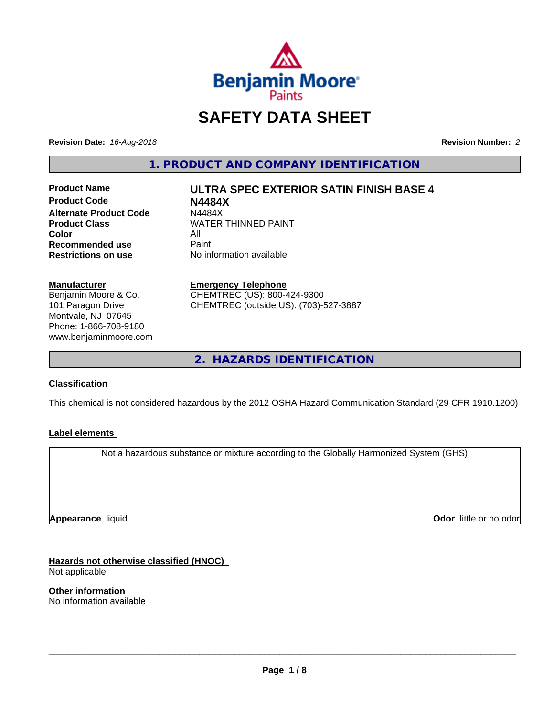

# **SAFETY DATA SHEET**

**Revision Date:** *16-Aug-2018* **Revision Number:** *2*

**1. PRODUCT AND COMPANY IDENTIFICATION**

**Product Code N4484X Alternate Product Code M4484X<br>Product Class NATER Color** All All<br>**Recommended use** Paint **Recommended use**<br>Restrictions on use

**Product Name ULTRA SPEC EXTERIOR SATIN FINISH BASE 4**

**WATER THINNED PAINT No information available** 

**Manufacturer** Benjamin Moore & Co. 101 Paragon Drive

Montvale, NJ 07645 Phone: 1-866-708-9180 www.benjaminmoore.com

#### **Emergency Telephone**

CHEMTREC (US): 800-424-9300 CHEMTREC (outside US): (703)-527-3887

**2. HAZARDS IDENTIFICATION**

# **Classification**

This chemical is not considered hazardous by the 2012 OSHA Hazard Communication Standard (29 CFR 1910.1200)

# **Label elements**

Not a hazardous substance or mixture according to the Globally Harmonized System (GHS)

**Appearance** liquid

**Odor** little or no odor

**Hazards not otherwise classified (HNOC)** Not applicable

**Other information** No information available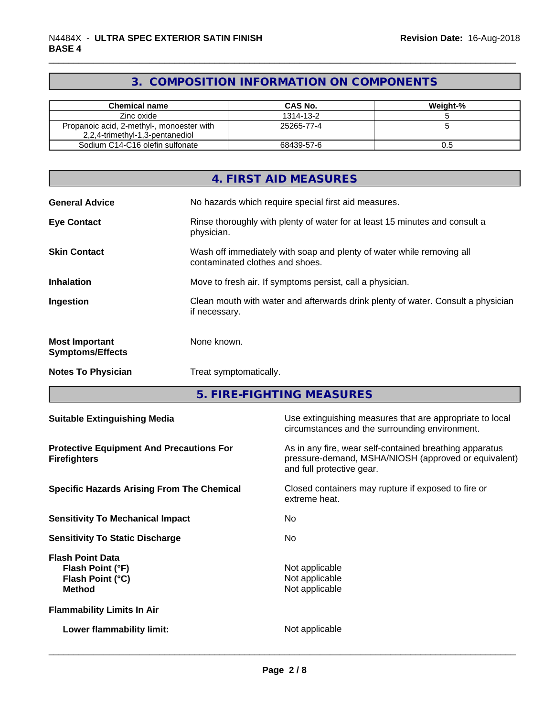# **3. COMPOSITION INFORMATION ON COMPONENTS**

| Chemical name                                                                | <b>CAS No.</b> | Weight-% |
|------------------------------------------------------------------------------|----------------|----------|
| Zinc oxide                                                                   | 1314-13-2      |          |
| Propanoic acid, 2-methyl-, monoester with<br>2,2,4-trimethyl-1,3-pentanediol | 25265-77-4     |          |
| Sodium C14-C16 olefin sulfonate                                              | 68439-57-6     | U.O      |

|                                                  | 4. FIRST AID MEASURES                                                                                    |
|--------------------------------------------------|----------------------------------------------------------------------------------------------------------|
| <b>General Advice</b>                            | No hazards which require special first aid measures.                                                     |
| <b>Eye Contact</b>                               | Rinse thoroughly with plenty of water for at least 15 minutes and consult a<br>physician.                |
| <b>Skin Contact</b>                              | Wash off immediately with soap and plenty of water while removing all<br>contaminated clothes and shoes. |
| <b>Inhalation</b>                                | Move to fresh air. If symptoms persist, call a physician.                                                |
| Ingestion                                        | Clean mouth with water and afterwards drink plenty of water. Consult a physician<br>if necessary.        |
| <b>Most Important</b><br><b>Symptoms/Effects</b> | None known.                                                                                              |
| <b>Notes To Physician</b>                        | Treat symptomatically.                                                                                   |

**5. FIRE-FIGHTING MEASURES**

| <b>Suitable Extinguishing Media</b>                                              | Use extinguishing measures that are appropriate to local<br>circumstances and the surrounding environment.                                   |
|----------------------------------------------------------------------------------|----------------------------------------------------------------------------------------------------------------------------------------------|
| <b>Protective Equipment And Precautions For</b><br><b>Firefighters</b>           | As in any fire, wear self-contained breathing apparatus<br>pressure-demand, MSHA/NIOSH (approved or equivalent)<br>and full protective gear. |
| <b>Specific Hazards Arising From The Chemical</b>                                | Closed containers may rupture if exposed to fire or<br>extreme heat.                                                                         |
| <b>Sensitivity To Mechanical Impact</b>                                          | No.                                                                                                                                          |
| <b>Sensitivity To Static Discharge</b>                                           | No.                                                                                                                                          |
| <b>Flash Point Data</b><br>Flash Point (°F)<br>Flash Point (°C)<br><b>Method</b> | Not applicable<br>Not applicable<br>Not applicable                                                                                           |
| <b>Flammability Limits In Air</b>                                                |                                                                                                                                              |
| Lower flammability limit:                                                        | Not applicable                                                                                                                               |
|                                                                                  |                                                                                                                                              |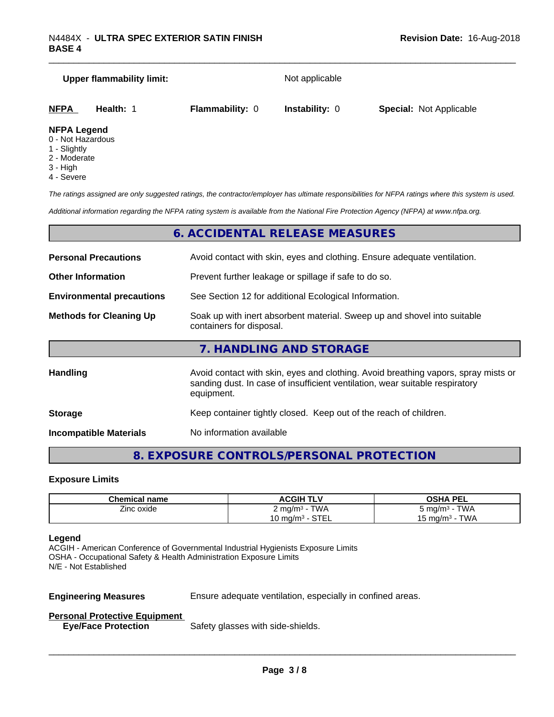# **Upper flammability limit:** Not applicable **NFPA Health:** 1 **Flammability:** 0 **Instability:** 0 **Special:** Not Applicable **NFPA Legend**

- 0 Not Hazardous
- 1 Slightly
- 2 Moderate
- 3 High
- 4 Severe

*The ratings assigned are only suggested ratings, the contractor/employer has ultimate responsibilities for NFPA ratings where this system is used.*

*Additional information regarding the NFPA rating system is available from the National Fire Protection Agency (NFPA) at www.nfpa.org.*

# **6. ACCIDENTAL RELEASE MEASURES**

| <b>Personal Precautions</b>      | Avoid contact with skin, eyes and clothing. Ensure adequate ventilation.                                                                                                         |  |
|----------------------------------|----------------------------------------------------------------------------------------------------------------------------------------------------------------------------------|--|
| <b>Other Information</b>         | Prevent further leakage or spillage if safe to do so.                                                                                                                            |  |
| <b>Environmental precautions</b> | See Section 12 for additional Ecological Information.                                                                                                                            |  |
| <b>Methods for Cleaning Up</b>   | Soak up with inert absorbent material. Sweep up and shovel into suitable<br>containers for disposal.                                                                             |  |
|                                  | 7. HANDLING AND STORAGE                                                                                                                                                          |  |
| <b>Handling</b>                  | Avoid contact with skin, eyes and clothing. Avoid breathing vapors, spray mists or<br>sanding dust. In case of insufficient ventilation, wear suitable respiratory<br>equipment. |  |
| <b>Storage</b>                   | Keep container tightly closed. Keep out of the reach of children.                                                                                                                |  |

**Incompatible Materials** No information available

# **8. EXPOSURE CONTROLS/PERSONAL PROTECTION**

#### **Exposure Limits**

| <b>Chemical name</b> | <b>ACGIH TLV</b><br>OSHA PEL      |                   |
|----------------------|-----------------------------------|-------------------|
| --<br>∠inc oxide     | <b>TWA</b><br>∠ mg/m <sup>3</sup> | TWA<br>ാ mg/m $3$ |
|                      | $\sim$ TF<br>.∪ mg/mª<br>.        | TWA<br>⊺ma/m∘     |

#### **Legend**

ACGIH - American Conference of Governmental Industrial Hygienists Exposure Limits OSHA - Occupational Safety & Health Administration Exposure Limits N/E - Not Established

**Engineering Measures** Ensure adequate ventilation, especially in confined areas.

 $\overline{\phantom{a}}$  ,  $\overline{\phantom{a}}$  ,  $\overline{\phantom{a}}$  ,  $\overline{\phantom{a}}$  ,  $\overline{\phantom{a}}$  ,  $\overline{\phantom{a}}$  ,  $\overline{\phantom{a}}$  ,  $\overline{\phantom{a}}$  ,  $\overline{\phantom{a}}$  ,  $\overline{\phantom{a}}$  ,  $\overline{\phantom{a}}$  ,  $\overline{\phantom{a}}$  ,  $\overline{\phantom{a}}$  ,  $\overline{\phantom{a}}$  ,  $\overline{\phantom{a}}$  ,  $\overline{\phantom{a}}$ 

#### **Personal Protective Equipment**

**Eye/Face Protection** Safety glasses with side-shields.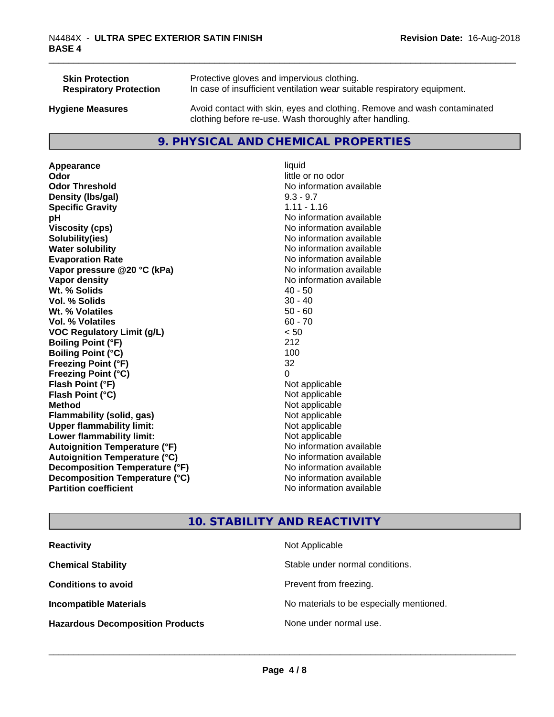| <b>Skin Protection</b>        | Protective gloves and impervious clothing.                                                                                          |
|-------------------------------|-------------------------------------------------------------------------------------------------------------------------------------|
| <b>Respiratory Protection</b> | In case of insufficient ventilation wear suitable respiratory equipment.                                                            |
| <b>Hygiene Measures</b>       | Avoid contact with skin, eyes and clothing. Remove and wash contaminated<br>clothing before re-use. Wash thoroughly after handling. |

# **9. PHYSICAL AND CHEMICAL PROPERTIES**

**Appearance** liquid **Odor** little or no odor **Odor Threshold** No information available **Density (lbs/gal)** 9.3 - 9.7 **Specific Gravity** 1.11 - 1.16 **pH pH**  $\blacksquare$ **Viscosity (cps)** No information available **Solubility(ies)** No information available **Water solubility** No information available **Evaporation Rate No information available No information available Vapor pressure @20 °C (kPa)** No information available **Vapor density**<br> **We Solids** (*We Solids* (*We Solids* (*We Solids* (*Me )* (*A)* (*A)* (*A)* (*A)* (*A)* (*A)* (*A)* (*A)* (*A)* (*A)* (*A)* (*A)* (*A)* (*A)* (*A)* (*A)* (*A)* (*A)* (*A)* (*A)* (*A)* (*A)* (*A)* (*A)* ( **Wt. % Solids** 40 - 50<br> **Vol. % Solids** 30 - 40 **Vol. % Solids Wt. % Volatiles** 50 - 60 **Vol. % Volatiles** 60 - 70 **VOC Regulatory Limit (g/L)** < 50 **Boiling Point (°F)** 212 **Boiling Point**  $(^{\circ}C)$  100 **Freezing Point (°F)** 32 **Freezing Point (°C)** 0 **Flash Point (°F)** Not applicable **Flash Point (°C)** Not applicable **Method** Not applicable<br> **Flammability (solid, gas)** Not applicable Not applicable **Flammability** (solid, gas) **Upper flammability limit:**<br> **Lower flammability limit:** Not applicable Not applicable **Lower flammability limit:**<br> **Autoignition Temperature (°F)** Not applicable havailable **Autoignition Temperature (°F) Autoignition Temperature (°C)** No information available **Decomposition Temperature (°F)** No information available **Decomposition Temperature (°C)**<br> **Partition coefficient**<br> **Partition coefficient**<br> **No** information available

**No information available** 

# **10. STABILITY AND REACTIVITY**

| <b>Reactivity</b>                       | Not Applicable                           |
|-----------------------------------------|------------------------------------------|
| <b>Chemical Stability</b>               | Stable under normal conditions.          |
| <b>Conditions to avoid</b>              | Prevent from freezing.                   |
| <b>Incompatible Materials</b>           | No materials to be especially mentioned. |
| <b>Hazardous Decomposition Products</b> | None under normal use.                   |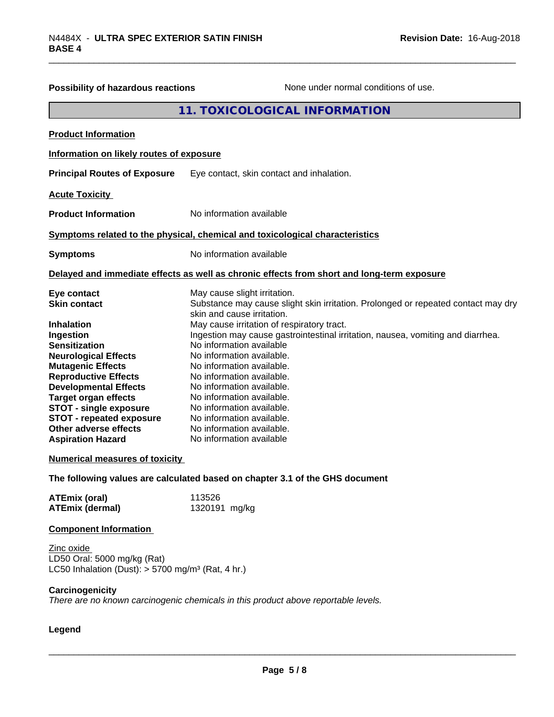| Possibility of hazardous reactions                                                                                                                                                                                                                                                                                                                                                                                                              | None under normal conditions of use.                                                                                                                                                                                                                                                                                                                                                                                                                                                                                                                                                                                                                                       |
|-------------------------------------------------------------------------------------------------------------------------------------------------------------------------------------------------------------------------------------------------------------------------------------------------------------------------------------------------------------------------------------------------------------------------------------------------|----------------------------------------------------------------------------------------------------------------------------------------------------------------------------------------------------------------------------------------------------------------------------------------------------------------------------------------------------------------------------------------------------------------------------------------------------------------------------------------------------------------------------------------------------------------------------------------------------------------------------------------------------------------------------|
|                                                                                                                                                                                                                                                                                                                                                                                                                                                 | 11. TOXICOLOGICAL INFORMATION                                                                                                                                                                                                                                                                                                                                                                                                                                                                                                                                                                                                                                              |
| <b>Product Information</b>                                                                                                                                                                                                                                                                                                                                                                                                                      |                                                                                                                                                                                                                                                                                                                                                                                                                                                                                                                                                                                                                                                                            |
| Information on likely routes of exposure                                                                                                                                                                                                                                                                                                                                                                                                        |                                                                                                                                                                                                                                                                                                                                                                                                                                                                                                                                                                                                                                                                            |
| <b>Principal Routes of Exposure</b>                                                                                                                                                                                                                                                                                                                                                                                                             | Eye contact, skin contact and inhalation.                                                                                                                                                                                                                                                                                                                                                                                                                                                                                                                                                                                                                                  |
| <b>Acute Toxicity</b>                                                                                                                                                                                                                                                                                                                                                                                                                           |                                                                                                                                                                                                                                                                                                                                                                                                                                                                                                                                                                                                                                                                            |
| <b>Product Information</b>                                                                                                                                                                                                                                                                                                                                                                                                                      | No information available                                                                                                                                                                                                                                                                                                                                                                                                                                                                                                                                                                                                                                                   |
|                                                                                                                                                                                                                                                                                                                                                                                                                                                 | Symptoms related to the physical, chemical and toxicological characteristics                                                                                                                                                                                                                                                                                                                                                                                                                                                                                                                                                                                               |
| <b>Symptoms</b>                                                                                                                                                                                                                                                                                                                                                                                                                                 | No information available                                                                                                                                                                                                                                                                                                                                                                                                                                                                                                                                                                                                                                                   |
|                                                                                                                                                                                                                                                                                                                                                                                                                                                 | Delayed and immediate effects as well as chronic effects from short and long-term exposure                                                                                                                                                                                                                                                                                                                                                                                                                                                                                                                                                                                 |
| Eye contact<br><b>Skin contact</b><br><b>Inhalation</b><br>Ingestion<br><b>Sensitization</b><br><b>Neurological Effects</b><br><b>Mutagenic Effects</b><br><b>Reproductive Effects</b><br><b>Developmental Effects</b><br><b>Target organ effects</b><br><b>STOT - single exposure</b><br><b>STOT - repeated exposure</b><br>Other adverse effects<br><b>Aspiration Hazard</b><br><b>Numerical measures of toxicity</b><br><b>ATEmix (oral)</b> | May cause slight irritation.<br>Substance may cause slight skin irritation. Prolonged or repeated contact may dry<br>skin and cause irritation.<br>May cause irritation of respiratory tract.<br>Ingestion may cause gastrointestinal irritation, nausea, vomiting and diarrhea.<br>No information available<br>No information available.<br>No information available.<br>No information available.<br>No information available.<br>No information available.<br>No information available.<br>No information available.<br>No information available.<br>No information available<br>The following values are calculated based on chapter 3.1 of the GHS document<br>113526 |
| <b>ATEmix (dermal)</b>                                                                                                                                                                                                                                                                                                                                                                                                                          | 1320191 mg/kg                                                                                                                                                                                                                                                                                                                                                                                                                                                                                                                                                                                                                                                              |
| <b>Component Information</b><br>Zinc oxide<br>LD50 Oral: 5000 mg/kg (Rat)<br>LC50 Inhalation (Dust): $> 5700$ mg/m <sup>3</sup> (Rat, 4 hr.)                                                                                                                                                                                                                                                                                                    |                                                                                                                                                                                                                                                                                                                                                                                                                                                                                                                                                                                                                                                                            |
| Carcinogenicity                                                                                                                                                                                                                                                                                                                                                                                                                                 | There are no known carcinogenic chemicals in this product above reportable levels.                                                                                                                                                                                                                                                                                                                                                                                                                                                                                                                                                                                         |
| Legend                                                                                                                                                                                                                                                                                                                                                                                                                                          |                                                                                                                                                                                                                                                                                                                                                                                                                                                                                                                                                                                                                                                                            |
|                                                                                                                                                                                                                                                                                                                                                                                                                                                 |                                                                                                                                                                                                                                                                                                                                                                                                                                                                                                                                                                                                                                                                            |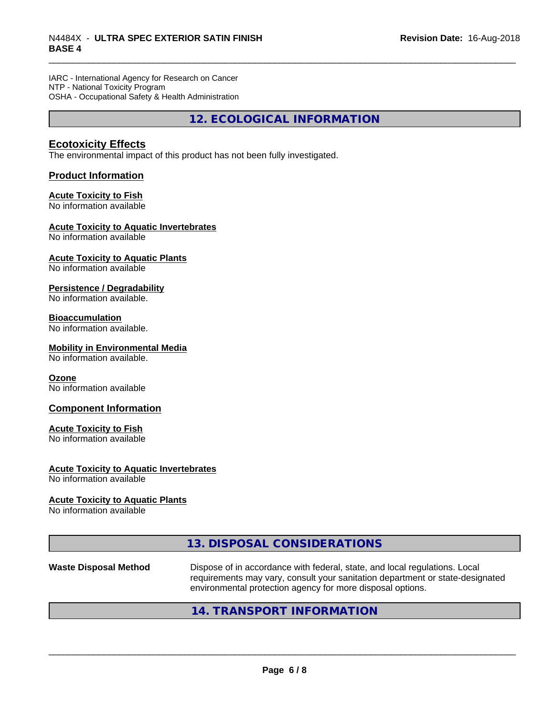IARC - International Agency for Research on Cancer NTP - National Toxicity Program OSHA - Occupational Safety & Health Administration

**12. ECOLOGICAL INFORMATION**

# **Ecotoxicity Effects**

The environmental impact of this product has not been fully investigated.

## **Product Information**

### **Acute Toxicity to Fish**

No information available

#### **Acute Toxicity to Aquatic Invertebrates**

No information available

### **Acute Toxicity to Aquatic Plants**

No information available

#### **Persistence / Degradability**

No information available.

#### **Bioaccumulation**

No information available.

#### **Mobility in Environmental Media**

No information available.

#### **Ozone**

No information available

#### **Component Information**

#### **Acute Toxicity to Fish**

No information available

#### **Acute Toxicity to Aquatic Invertebrates**

No information available

#### **Acute Toxicity to Aquatic Plants**

No information available

# **13. DISPOSAL CONSIDERATIONS**

Waste Disposal Method **Dispose of in accordance with federal, state, and local regulations. Local** requirements may vary, consult your sanitation department or state-designated environmental protection agency for more disposal options.

 $\overline{\phantom{a}}$  ,  $\overline{\phantom{a}}$  ,  $\overline{\phantom{a}}$  ,  $\overline{\phantom{a}}$  ,  $\overline{\phantom{a}}$  ,  $\overline{\phantom{a}}$  ,  $\overline{\phantom{a}}$  ,  $\overline{\phantom{a}}$  ,  $\overline{\phantom{a}}$  ,  $\overline{\phantom{a}}$  ,  $\overline{\phantom{a}}$  ,  $\overline{\phantom{a}}$  ,  $\overline{\phantom{a}}$  ,  $\overline{\phantom{a}}$  ,  $\overline{\phantom{a}}$  ,  $\overline{\phantom{a}}$ 

# **14. TRANSPORT INFORMATION**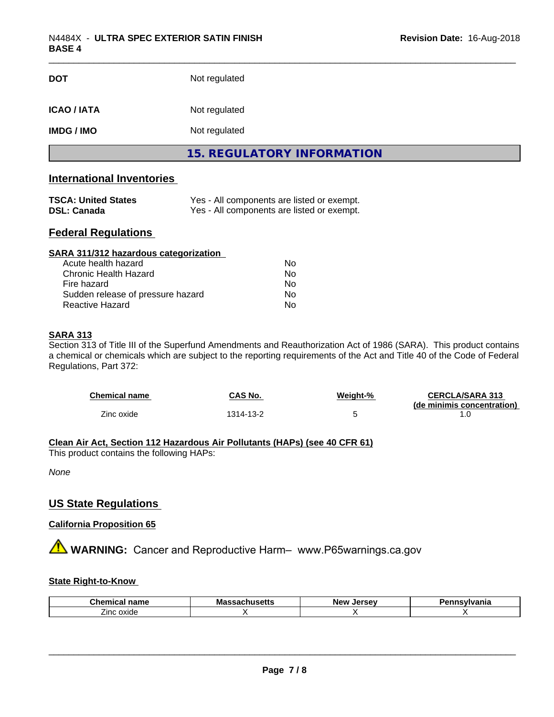| <b>DOT</b>         | Not regulated                     |  |
|--------------------|-----------------------------------|--|
| <b>ICAO / IATA</b> | Not regulated                     |  |
| <b>IMDG / IMO</b>  | Not regulated                     |  |
|                    | <b>15. REGULATORY INFORMATION</b> |  |

# **International Inventories**

| <b>TSCA: United States</b> | Yes - All components are listed or exempt. |
|----------------------------|--------------------------------------------|
| <b>DSL: Canada</b>         | Yes - All components are listed or exempt. |

# **Federal Regulations**

| SARA 311/312 hazardous categorization |    |  |
|---------------------------------------|----|--|
| Acute health hazard                   | Nο |  |
| Chronic Health Hazard                 | No |  |
| Fire hazard                           | Nο |  |
| Sudden release of pressure hazard     | Nο |  |
| Reactive Hazard                       | No |  |

# **SARA 313**

Section 313 of Title III of the Superfund Amendments and Reauthorization Act of 1986 (SARA). This product contains a chemical or chemicals which are subject to the reporting requirements of the Act and Title 40 of the Code of Federal Regulations, Part 372:

| Chemical name | CAS No.  | Weiaht-% | <b>CERCLA/SARA 313</b><br>(de minimis concentration) |
|---------------|----------|----------|------------------------------------------------------|
| Zinc oxide    | 314-13-2 |          |                                                      |

# **Clean Air Act,Section 112 Hazardous Air Pollutants (HAPs) (see 40 CFR 61)**

This product contains the following HAPs:

*None*

# **US State Regulations**

# **California Proposition 65**

**A** WARNING: Cancer and Reproductive Harm– www.P65warnings.ca.gov

#### **State Right-to-Know**

| Cher<br>.<br>name<br>шса                  | Mass<br>ssaunuseus | Jersev<br><b>New</b><br>$\cdot$ | nsvlvania |
|-------------------------------------------|--------------------|---------------------------------|-----------|
| $\overline{\phantom{a}}$<br>oxide<br>∠inc |                    |                                 |           |